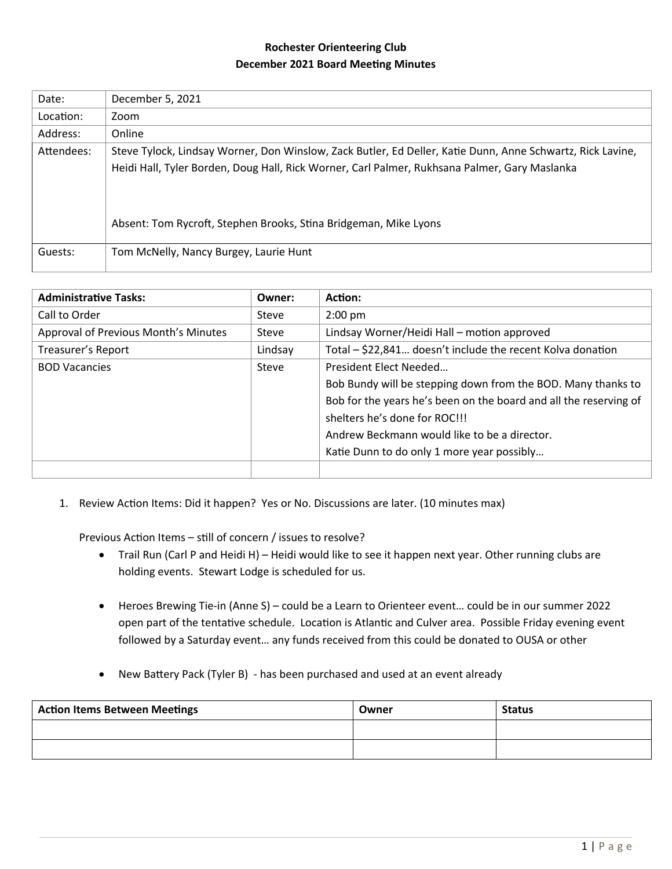# **Rochester Orienteering Club December 2021 Board Meeting Minutes**

| Date:      | December 5, 2021                                                                                           |
|------------|------------------------------------------------------------------------------------------------------------|
| Location:  | Zoom                                                                                                       |
| Address:   | Online                                                                                                     |
| Attendees: | Steve Tylock, Lindsay Worner, Don Winslow, Zack Butler, Ed Deller, Katie Dunn, Anne Schwartz, Rick Lavine, |
|            | Heidi Hall, Tyler Borden, Doug Hall, Rick Worner, Carl Palmer, Rukhsana Palmer, Gary Maslanka              |
|            |                                                                                                            |
|            |                                                                                                            |
|            | Absent: Tom Rycroft, Stephen Brooks, Stina Bridgeman, Mike Lyons                                           |
| Guests:    | Tom McNelly, Nancy Burgey, Laurie Hunt                                                                     |

| <b>Administrative Tasks:</b>         | Owner:  | Action:                                                                                                                                                                                                                                                                                    |
|--------------------------------------|---------|--------------------------------------------------------------------------------------------------------------------------------------------------------------------------------------------------------------------------------------------------------------------------------------------|
| Call to Order                        | Steve   | $2:00$ pm                                                                                                                                                                                                                                                                                  |
| Approval of Previous Month's Minutes | Steve   | Lindsay Worner/Heidi Hall - motion approved                                                                                                                                                                                                                                                |
| Treasurer's Report                   | Lindsay | Total - \$22,841 doesn't include the recent Kolva donation                                                                                                                                                                                                                                 |
| <b>BOD Vacancies</b>                 | Steve   | President Elect Needed<br>Bob Bundy will be stepping down from the BOD. Many thanks to<br>Bob for the years he's been on the board and all the reserving of<br>shelters he's done for ROC!!!<br>Andrew Beckmann would like to be a director.<br>Katie Dunn to do only 1 more year possibly |
|                                      |         |                                                                                                                                                                                                                                                                                            |

1. Review Action Items: Did it happen? Yes or No. Discussions are later. (10 minutes max)

Previous Action Items – still of concern / issues to resolve?

- Trail Run (Carl P and Heidi H) Heidi would like to see it happen next year. Other running clubs are holding events. Stewart Lodge is scheduled for us.
- Heroes Brewing Tie-in (Anne S) could be a Learn to Orienteer event… could be in our summer 2022 open part of the tentative schedule. Location is Atlantic and Culver area. Possible Friday evening event followed by a Saturday event… any funds received from this could be donated to OUSA or other
- New Battery Pack (Tyler B) has been purchased and used at an event already

| <b>Action Items Between Meetings</b> | Owner | <b>Status</b> |
|--------------------------------------|-------|---------------|
|                                      |       |               |
|                                      |       |               |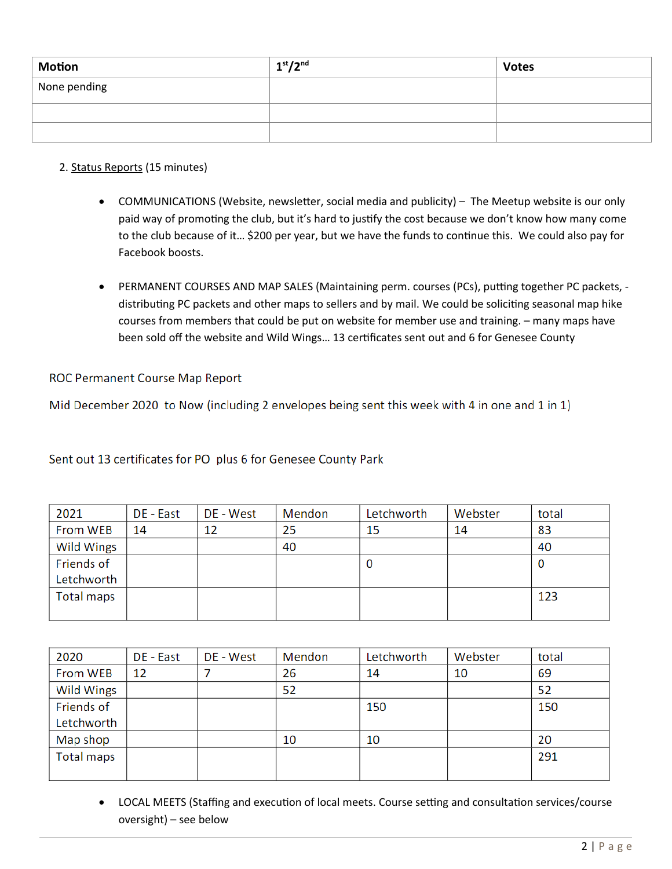| <b>Motion</b> | 1 <sup>st</sup> /2 <sup>nd</sup> | <b>Votes</b> |
|---------------|----------------------------------|--------------|
| None pending  |                                  |              |
|               |                                  |              |
|               |                                  |              |

### 2. Status Reports (15 minutes)

- COMMUNICATIONS (Website, newsletter, social media and publicity) The Meetup website is our only paid way of promoting the club, but it's hard to justify the cost because we don't know how many come to the club because of it… \$200 per year, but we have the funds to continue this. We could also pay for Facebook boosts.
- PERMANENT COURSES AND MAP SALES (Maintaining perm. courses (PCs), putting together PC packets, distributing PC packets and other maps to sellers and by mail. We could be soliciting seasonal map hike courses from members that could be put on website for member use and training. – many maps have been sold off the website and Wild Wings… 13 certificates sent out and 6 for Genesee County

## ROC Permanent Course Map Report

Mid December 2020 to Now (including 2 envelopes being sent this week with 4 in one and 1 in 1)

Sent out 13 certificates for PO plus 6 for Genesee County Park

| 2021              | DE - East | DE - West | Mendon | Letchworth | Webster | total |
|-------------------|-----------|-----------|--------|------------|---------|-------|
| <b>From WEB</b>   | 14        | 12        | 25     | 15         | 14      | 83    |
| <b>Wild Wings</b> |           |           | 40     |            |         | 40    |
| Friends of        |           |           |        | 0          |         | 0     |
| Letchworth        |           |           |        |            |         |       |
| <b>Total maps</b> |           |           |        |            |         | 123   |
|                   |           |           |        |            |         |       |

| 2020              | DE - East | DE - West | Mendon | Letchworth | Webster | total |
|-------------------|-----------|-----------|--------|------------|---------|-------|
| <b>From WEB</b>   | 12        |           | 26     | 14         | 10      | 69    |
| <b>Wild Wings</b> |           |           | 52     |            |         | 52    |
| <b>Friends of</b> |           |           |        | 150        |         | 150   |
| Letchworth        |           |           |        |            |         |       |
| Map shop          |           |           | 10     | 10         |         | 20    |
| Total maps        |           |           |        |            |         | 291   |
|                   |           |           |        |            |         |       |

 LOCAL MEETS (Staffing and execution of local meets. Course setting and consultation services/course oversight) – see below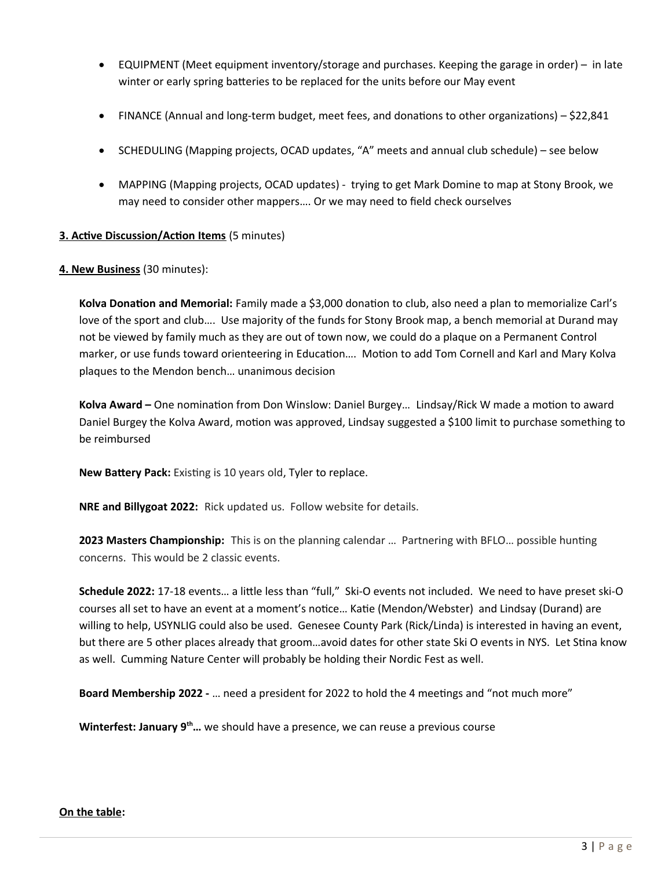- EQUIPMENT (Meet equipment inventory/storage and purchases. Keeping the garage in order) in late winter or early spring batteries to be replaced for the units before our May event
- FINANCE (Annual and long-term budget, meet fees, and donations to other organizations) \$22,841
- SCHEDULING (Mapping projects, OCAD updates, "A" meets and annual club schedule) see below
- MAPPING (Mapping projects, OCAD updates) trying to get Mark Domine to map at Stony Brook, we may need to consider other mappers…. Or we may need to field check ourselves

### **3. Active Discussion/Action Items** (5 minutes)

### **4. New Business** (30 minutes):

**Kolva Donation and Memorial:** Family made a \$3,000 donation to club, also need a plan to memorialize Carl's love of the sport and club…. Use majority of the funds for Stony Brook map, a bench memorial at Durand may not be viewed by family much as they are out of town now, we could do a plaque on a Permanent Control marker, or use funds toward orienteering in Education…. Motion to add Tom Cornell and Karl and Mary Kolva plaques to the Mendon bench… unanimous decision

**Kolva Award –** One nomination from Don Winslow: Daniel Burgey…Lindsay/Rick W made a motion to award Daniel Burgey the Kolva Award, motion was approved, Lindsay suggested a \$100 limit to purchase something to be reimbursed

**New Battery Pack:** Existing is 10 years old, Tyler to replace.

**NRE and Billygoat 2022:** Rick updated us. Follow website for details.

**2023 Masters Championship:** This is on the planning calendar … Partnering with BFLO… possible hunting concerns. This would be 2 classic events.

**Schedule 2022:** 17-18 events… a little less than "full," Ski-O events not included. We need to have preset ski-O courses all set to have an event at a moment's notice… Katie (Mendon/Webster) and Lindsay (Durand) are willing to help, USYNLIG could also be used. Genesee County Park (Rick/Linda) is interested in having an event, but there are 5 other places already that groom…avoid dates for other state Ski O events in NYS. Let Stina know as well. Cumming Nature Center will probably be holding their Nordic Fest as well.

**Board Membership 2022 -** … need a president for 2022 to hold the 4 meetings and "not much more"

**Winterfest: January 9th…** we should have a presence, we can reuse a previous course

#### **On the table:**